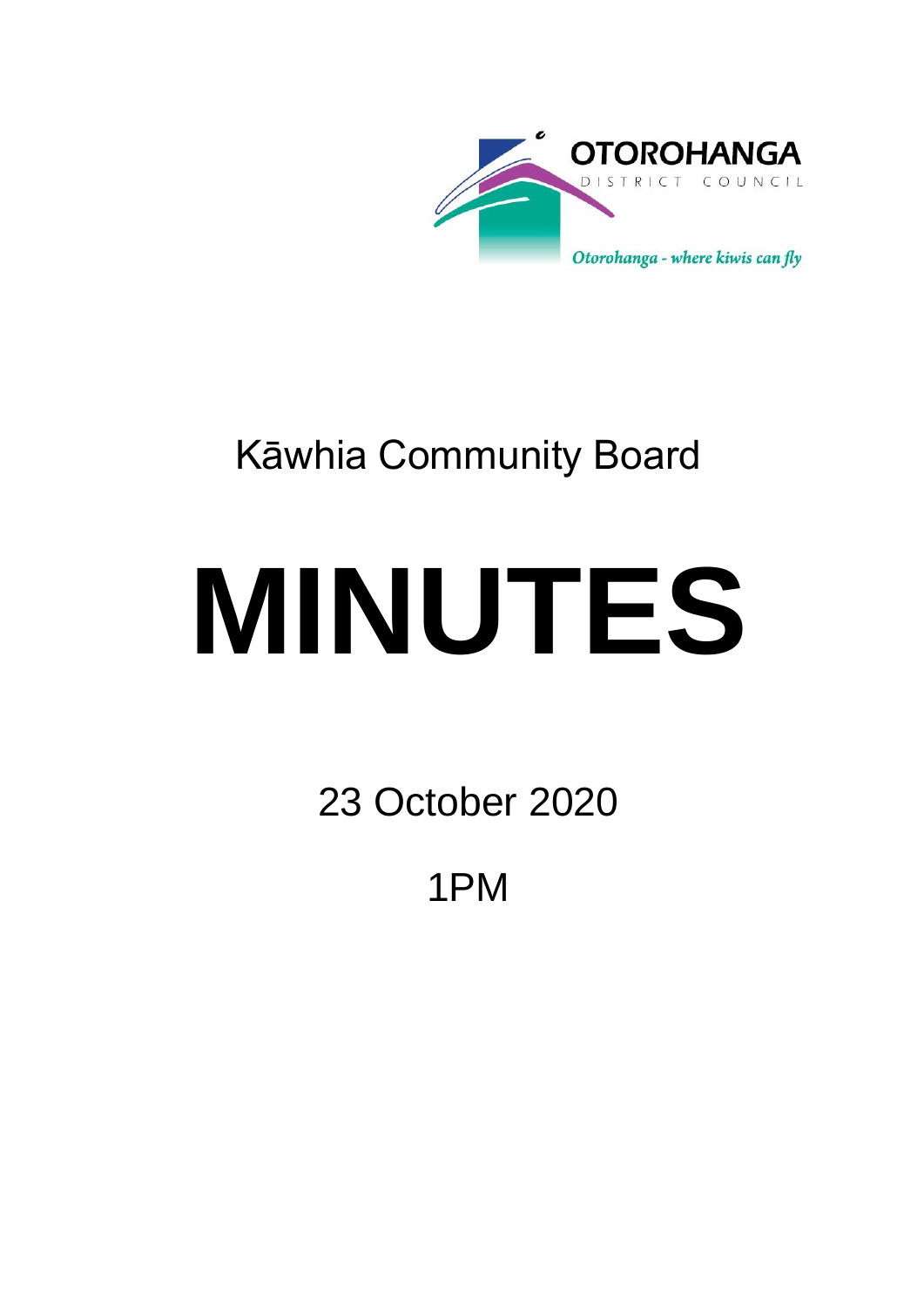

## Kāwhia Community Board

# **MINUTES**

23 October 2020

1PM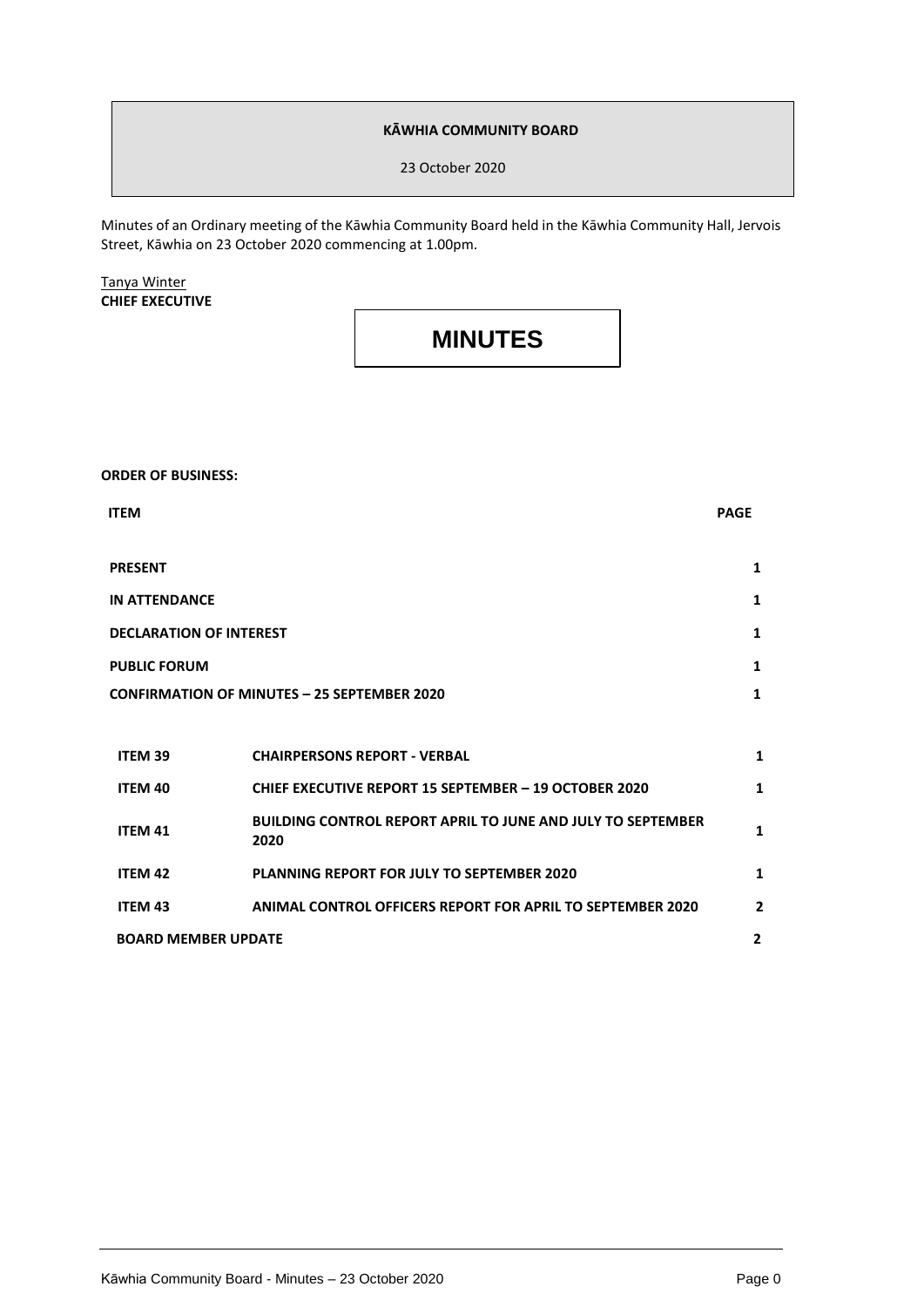#### **KĀWHIA COMMUNITY BOARD**

23 October 2020

Minutes of an Ordinary meeting of the Kāwhia Community Board held in the Kāwhia Community Hall, Jervois Street, Kāwhia on 23 October 2020 commencing at 1.00pm.

Tanya Winter **CHIEF EXECUTIVE**

### **MINUTES**

**ORDER OF BUSINESS:**

| <b>ITEM</b>                                        |                                                                            | <b>PAGE</b>    |
|----------------------------------------------------|----------------------------------------------------------------------------|----------------|
| <b>PRESENT</b>                                     |                                                                            | $\mathbf{1}$   |
| <b>IN ATTENDANCE</b>                               |                                                                            | $\mathbf{1}$   |
| <b>DECLARATION OF INTEREST</b>                     |                                                                            | $\mathbf{1}$   |
| <b>PUBLIC FORUM</b>                                |                                                                            | 1              |
| <b>CONFIRMATION OF MINUTES - 25 SEPTEMBER 2020</b> |                                                                            | $\mathbf{1}$   |
|                                                    |                                                                            |                |
| <b>ITEM 39</b>                                     | <b>CHAIRPERSONS REPORT - VERBAL</b>                                        | 1              |
| ITEM 40                                            | <b>CHIEF EXECUTIVE REPORT 15 SEPTEMBER - 19 OCTOBER 2020</b>               | 1              |
| <b>ITEM 41</b>                                     | <b>BUILDING CONTROL REPORT APRIL TO JUNE AND JULY TO SEPTEMBER</b><br>2020 | 1              |
| <b>ITEM 42</b>                                     | <b>PLANNING REPORT FOR JULY TO SEPTEMBER 2020</b>                          | 1              |
| <b>ITEM 43</b>                                     | <b>ANIMAL CONTROL OFFICERS REPORT FOR APRIL TO SEPTEMBER 2020</b>          | $\overline{2}$ |
| <b>BOARD MEMBER UPDATE</b>                         |                                                                            | $\overline{2}$ |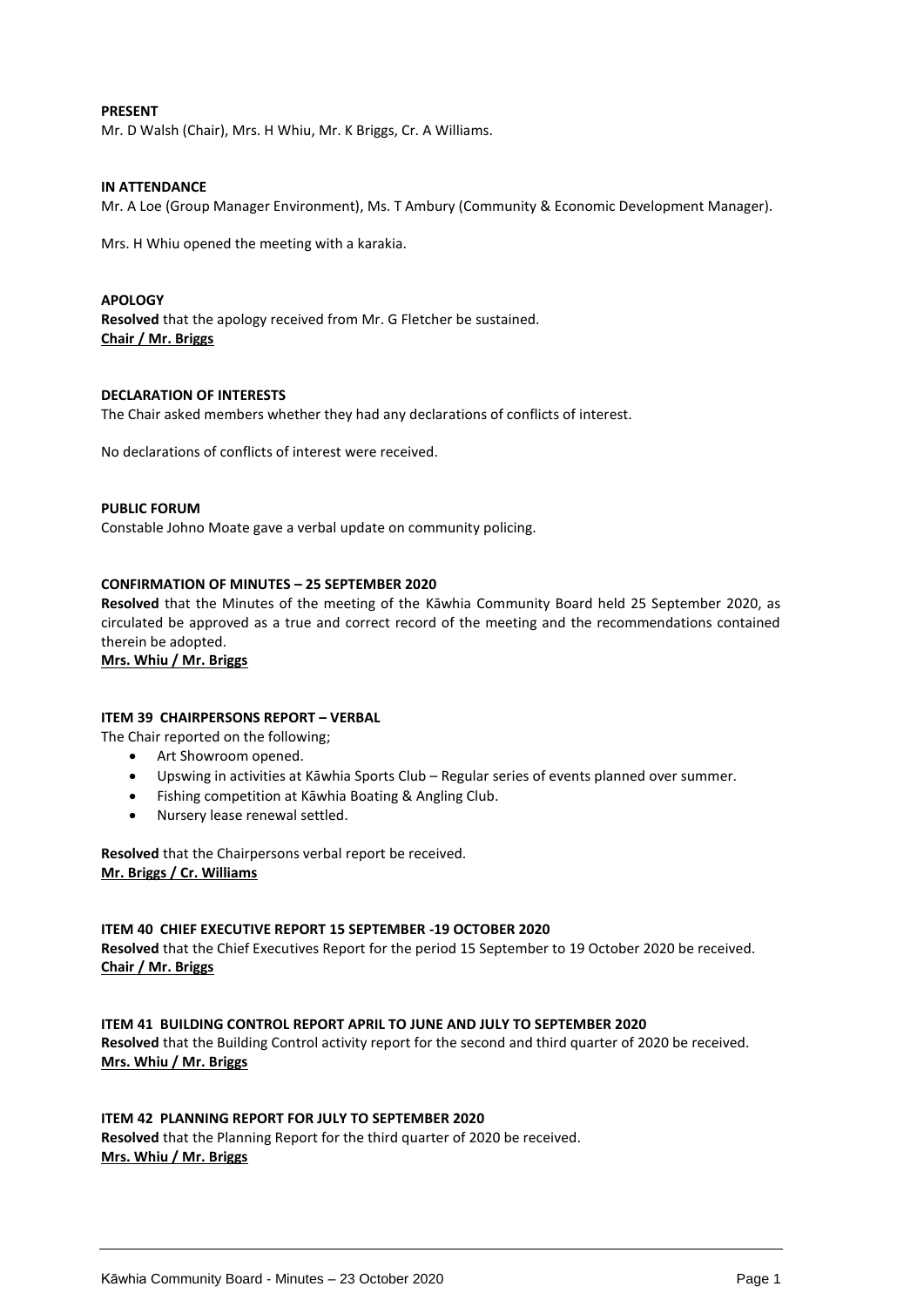#### **PRESENT**

Mr. D Walsh (Chair), Mrs. H Whiu, Mr. K Briggs, Cr. A Williams.

#### **IN ATTENDANCE**

Mr. A Loe (Group Manager Environment), Ms. T Ambury (Community & Economic Development Manager).

Mrs. H Whiu opened the meeting with a karakia.

#### **APOLOGY**

**Resolved** that the apology received from Mr. G Fletcher be sustained. **Chair / Mr. Briggs**

#### **DECLARATION OF INTERESTS**

The Chair asked members whether they had any declarations of conflicts of interest.

No declarations of conflicts of interest were received.

#### **PUBLIC FORUM**

Constable Johno Moate gave a verbal update on community policing.

#### **CONFIRMATION OF MINUTES – 25 SEPTEMBER 2020**

**Resolved** that the Minutes of the meeting of the Kāwhia Community Board held 25 September 2020, as circulated be approved as a true and correct record of the meeting and the recommendations contained therein be adopted.

#### **Mrs. Whiu / Mr. Briggs**

#### **ITEM 39 CHAIRPERSONS REPORT – VERBAL**

The Chair reported on the following;

- Art Showroom opened.
- Upswing in activities at Kāwhia Sports Club Regular series of events planned over summer.
- Fishing competition at Kāwhia Boating & Angling Club.
- Nursery lease renewal settled.

**Resolved** that the Chairpersons verbal report be received. **Mr. Briggs / Cr. Williams**

#### **ITEM 40 CHIEF EXECUTIVE REPORT 15 SEPTEMBER -19 OCTOBER 2020**

**Resolved** that the Chief Executives Report for the period 15 September to 19 October 2020 be received. **Chair / Mr. Briggs**

#### **ITEM 41 BUILDING CONTROL REPORT APRIL TO JUNE AND JULY TO SEPTEMBER 2020 Resolved** that the Building Control activity report for the second and third quarter of 2020 be received. **Mrs. Whiu / Mr. Briggs**

#### **ITEM 42 PLANNING REPORT FOR JULY TO SEPTEMBER 2020**

**Resolved** that the Planning Report for the third quarter of 2020 be received. **Mrs. Whiu / Mr. Briggs**